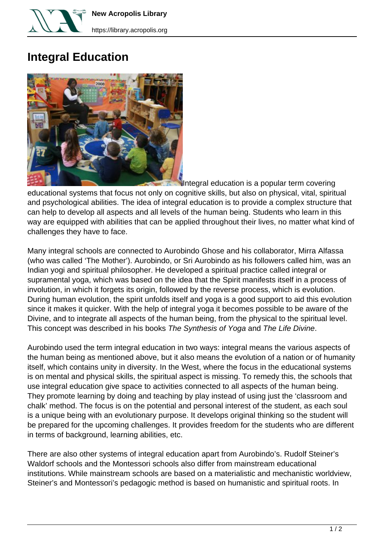

**New Acropolis Library**

## **Integral Education**



Integral education is a popular term covering

educational systems that focus not only on cognitive skills, but also on physical, vital, spiritual and psychological abilities. The idea of integral education is to provide a complex structure that can help to develop all aspects and all levels of the human being. Students who learn in this way are equipped with abilities that can be applied throughout their lives, no matter what kind of challenges they have to face.

Many integral schools are connected to Aurobindo Ghose and his collaborator, Mirra Alfassa (who was called 'The Mother'). Aurobindo, or Sri Aurobindo as his followers called him, was an Indian yogi and spiritual philosopher. He developed a spiritual practice called integral or supramental yoga, which was based on the idea that the Spirit manifests itself in a process of involution, in which it forgets its origin, followed by the reverse process, which is evolution. During human evolution, the spirit unfolds itself and yoga is a good support to aid this evolution since it makes it quicker. With the help of integral yoga it becomes possible to be aware of the Divine, and to integrate all aspects of the human being, from the physical to the spiritual level. This concept was described in his books The Synthesis of Yoga and The Life Divine.

Aurobindo used the term integral education in two ways: integral means the various aspects of the human being as mentioned above, but it also means the evolution of a nation or of humanity itself, which contains unity in diversity. In the West, where the focus in the educational systems is on mental and physical skills, the spiritual aspect is missing. To remedy this, the schools that use integral education give space to activities connected to all aspects of the human being. They promote learning by doing and teaching by play instead of using just the 'classroom and chalk' method. The focus is on the potential and personal interest of the student, as each soul is a unique being with an evolutionary purpose. It develops original thinking so the student will be prepared for the upcoming challenges. It provides freedom for the students who are different in terms of background, learning abilities, etc.

There are also other systems of integral education apart from Aurobindo's. Rudolf Steiner's Waldorf schools and the Montessori schools also differ from mainstream educational institutions. While mainstream schools are based on a materialistic and mechanistic worldview, Steiner's and Montessori's pedagogic method is based on humanistic and spiritual roots. In